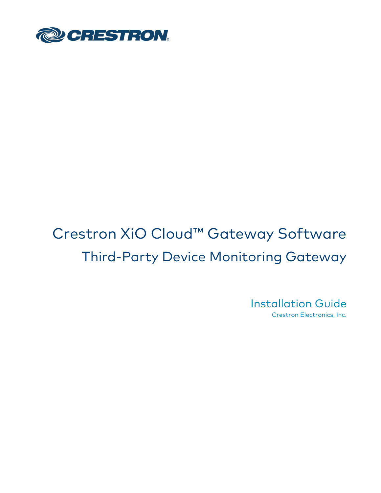

### Crestron XiO Cloud™ Gateway Software Third-Party Device Monitoring Gateway

Installation Guide Crestron Electronics, Inc.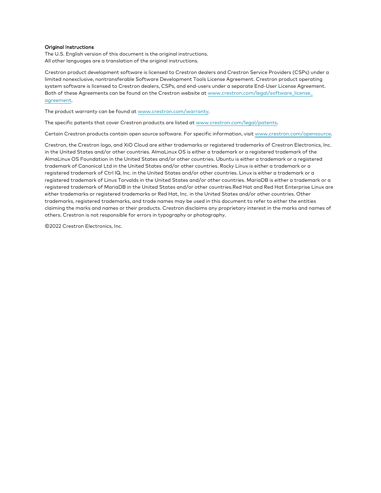#### Original Instructions

The U.S. English version of this document is the original instructions. All other languages are a translation of the original instructions.

Crestron product development software is licensed to Crestron dealers and Crestron Service Providers (CSPs) under a limited nonexclusive, nontransferable Software Development Tools License Agreement. Crestron product operating system software is licensed to Crestron dealers, CSPs, and end-users under a separate End-User License Agreement. Both of these Agreements can be found on the Crestron website at [www.crestron.com/legal/software\\_license\\_](https://www.crestron.com/legal/software-license-agreement) [agreement.](https://www.crestron.com/legal/software-license-agreement)

The product warranty can be found at [www.crestron.com/warranty](https://www.crestron.com/warranty).

The specific patents that cover Crestron products are listed at [www.crestron.com/legal/patents](https://www.crestron.com/legal/patents).

Certain Crestron products contain open source software. For specific information, visit [www.crestron.com/opensource.](https://www.crestron.com/legal/open-source-software)

Crestron, the Crestron logo, and XiO Cloud are either trademarks or registered trademarks of Crestron Electronics, Inc. in the United States and/or other countries. AlmaLinux OS is either a trademark or a registered trademark of the AlmaLinux OS Foundation in the United States and/or other countries. Ubuntu is either a trademark or a registered trademark of Canonical Ltd in the United States and/or other countries. Rocky Linux is either a trademark or a registered trademark of Ctrl IQ, Inc. in the United States and/or other countries. Linux is either a trademark or a registered trademark of Linus Torvalds in the United States and/or other countries. MariaDB is either a trademark or a registered trademark of MariaDB in the United States and/or other countries.Red Hat and Red Hat Enterprise Linux are either trademarks or registered trademarks or Red Hat, Inc. in the United States and/or other countries. Other trademarks, registered trademarks, and trade names may be used in this document to refer to either the entities claiming the marks and names or their products. Crestron disclaims any proprietary interest in the marks and names of others. Crestron is not responsible for errors in typography or photography.

©2022 Crestron Electronics, Inc.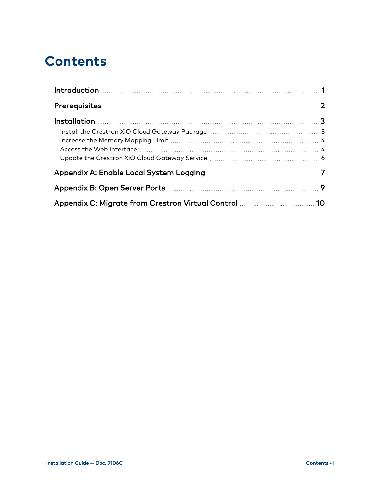### **Contents**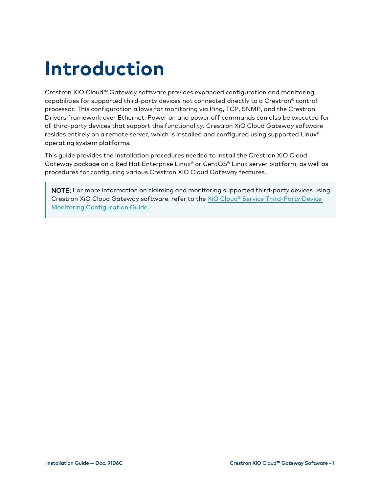## <span id="page-4-0"></span>**Introduction**

Crestron XiO Cloud™ Gateway software provides expanded configuration and monitoring capabilities for supported third-party devices not connected directly to a Crestron® control processor. This configuration allows for monitoring via Ping, TCP, SNMP, and the Crestron Drivers framework over Ethernet. Power on and power off commands can also be executed for all third-party devices that support this functionality. Crestron XiO Cloud Gateway software resides entirely on a remote server, which is installed and configured using supported Linux® operating system platforms.

This guide provides the installation procedures needed to install the Crestron XiO Cloud Gateway package on a Red Hat Enterprise Linux® or CentOS® Linux server platform, as well as procedures for configuring various Crestron XiO Cloud Gateway features.

NOTE: For more information on claiming and monitoring supported third-party devices using Crestron XiO Cloud Gateway software, refer to the XiO Cloud® Service [Third-Party](https://www.crestron.com/getmedia/1622de5c-6ae0-4de7-b447-147c3cb5c43f/mg_cg_xio_cloud_service_third-party_device_monitoring) Device Monitoring [Configuration](https://www.crestron.com/getmedia/1622de5c-6ae0-4de7-b447-147c3cb5c43f/mg_cg_xio_cloud_service_third-party_device_monitoring) Guide.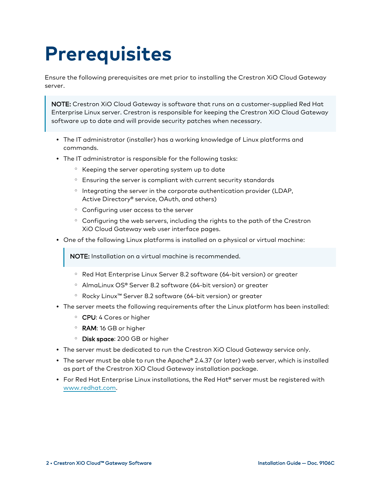## <span id="page-5-0"></span>**Prerequisites**

Ensure the following prerequisites are met prior to installing the Crestron XiO Cloud Gateway server.

NOTE: Crestron XiO Cloud Gateway is software that runs on a customer-supplied Red Hat Enterprise Linux server. Crestron is responsible for keeping the Crestron XiO Cloud Gateway software up to date and will provide security patches when necessary.

- The IT administrator (installer) has a working knowledge of Linux platforms and commands.
- The IT administrator is responsible for the following tasks:
	- $\degree$  Keeping the server operating system up to date
	- $\degree$  Ensuring the server is compliant with current security standards
	- o Integrating the server in the corporate authentication provider (LDAP, Active Directory® service, OAuth, and others)
	- <sup>o</sup> Configuring user access to the server
	- $\circ$  Configuring the web servers, including the rights to the path of the Crestron XiO Cloud Gateway web user interface pages.
- One of the following Linux platforms is installed on a physical or virtual machine:

NOTE: Installation on a virtual machine is recommended.

- <sup>o</sup> Red Hat Enterprise Linux Server 8.2 software (64-bit version) or greater
- <sup>o</sup> AlmaLinux OS® Server 8.2 software (64-bit version) or greater
- <sup>o</sup> Rocky Linux™ Server 8.2 software (64-bit version) or greater
- The server meets the following requirements after the Linux platform has been installed:
	- CPU: 4 Cores or higher
	- RAM: 16 GB or higher
	- Disk space: 200 GB or higher
- The server must be dedicated to run the Crestron XiO Cloud Gateway service only.
- The server must be able to run the Apache® 2.4.37 (or later) web server, which is installed as part of the Crestron XiO Cloud Gateway installation package.
- **•** For Red Hat Enterprise Linux installations, the Red Hat® server must be registered with [www.redhat.com](https://www.redhat.com/).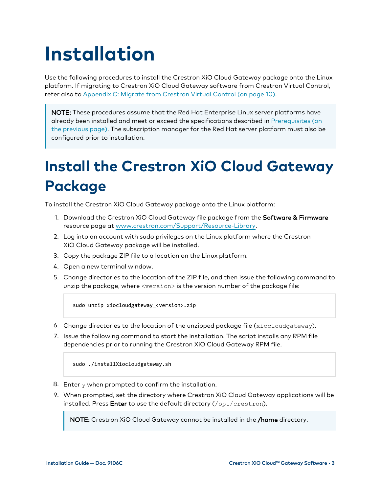## <span id="page-6-0"></span>**Installation**

Use the following procedures to install the Crestron XiO Cloud Gateway package onto the Linux platform. If migrating to Crestron XiO Cloud Gateway software from Crestron Virtual Control, refer also to [Appendix](#page-13-0) C: Migrate from Crestron Virtual Control (on page 10).

<span id="page-6-1"></span>NOTE: These procedures assume that the Red Hat Enterprise Linux server platforms have already been installed and meet or exceed the specifications described in [Prerequisites](#page-5-0) (on the [previous](#page-5-0) page). The subscription manager for the Red Hat server platform must also be configured prior to installation.

### **Install the Crestron XiO Cloud Gateway Package**

To install the Crestron XiO Cloud Gateway package onto the Linux platform:

- 1. Download the Crestron XiO Cloud Gateway file package from the Software & Firmware resource page at [www.crestron.com/Support/Resource-Library.](https://www.crestron.com/Support/Resource-Library)
- 2. Log into an account with sudo privileges on the Linux platform where the Crestron XiO Cloud Gateway package will be installed.
- 3. Copy the package ZIP file to a location on the Linux platform.
- 4. Open a new terminal window.
- 5. Change directories to the location of the ZIP file, and then issue the following command to unzip the package, where <version> is the version number of the package file:

sudo unzip xiocloudgateway <version>.zip

- 6. Change directories to the location of the unzipped package file (xiocloudgateway).
- 7. Issue the following command to start the installation. The script installs any RPM file dependencies prior to running the Crestron XiO Cloud Gateway RPM file.

sudo ./installXiocloudgateway.sh

- 8. Enter  $y$  when prompted to confirm the installation.
- 9. When prompted, set the directory where Crestron XiO Cloud Gateway applications will be installed. Press Enter to use the default directory (/opt/crestron).

NOTE: Crestron XiO Cloud Gateway cannot be installed in the /home directory.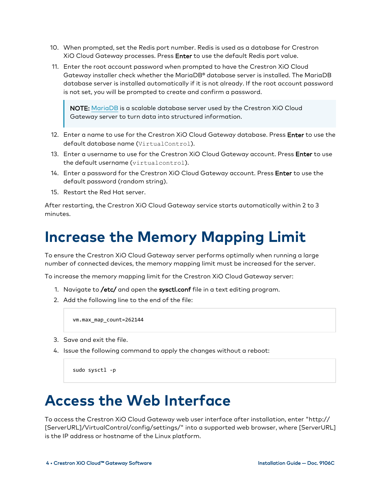- 10. When prompted, set the Redis port number. Redis is used as a database for Crestron XiO Cloud Gateway processes. Press **Enter** to use the default Redis port value.
- 11. Enter the root account password when prompted to have the Crestron XiO Cloud Gateway installer check whether the MariaDB® database server is installed. The MariaDB database server is installed automatically if it is not already. If the root account password is not set, you will be prompted to create and confirm a password.

NOTE: [MariaDB](https://mariadb.org/about/) is a scalable database server used by the Crestron XiO Cloud Gateway server to turn data into structured information.

- 12. Enter a name to use for the Crestron XiO Cloud Gateway database. Press **Enter** to use the default database name (VirtualControl).
- 13. Enter a username to use for the Crestron XiO Cloud Gateway account. Press Enter to use the default username (virtualcontrol).
- 14. Enter a password for the Crestron XiO Cloud Gateway account. Press **Enter** to use the default password (random string).
- 15. Restart the Red Hat server.

<span id="page-7-0"></span>After restarting, the Crestron XiO Cloud Gateway service starts automatically within 2 to 3 minutes.

### **Increase the Memory Mapping Limit**

To ensure the Crestron XiO Cloud Gateway server performs optimally when running a large number of connected devices, the memory mapping limit must be increased for the server.

To increase the memory mapping limit for the Crestron XiO Cloud Gateway server:

- 1. Navigate to **/etc/** and open the sysctl.conf file in a text editing program.
- 2. Add the following line to the end of the file:

vm.max\_map\_count=262144

- 3. Save and exit the file.
- 4. Issue the following command to apply the changes without a reboot:

sudo sysctl -p

### <span id="page-7-1"></span>**Access the Web Interface**

To access the Crestron XiO Cloud Gateway web user interface after installation, enter "http:// [ServerURL]/VirtualControl/config/settings/" into a supported web browser, where [ServerURL] is the IP address or hostname of the Linux platform.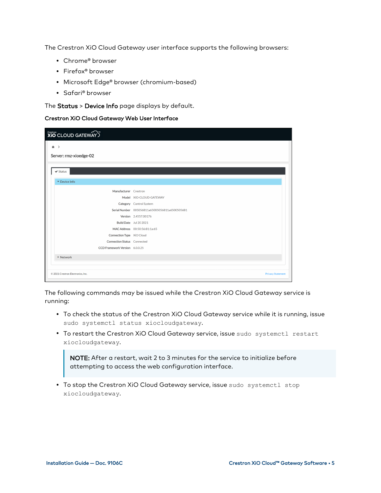The Crestron XiO Cloud Gateway user interface supports the following browsers:

- Chrome® browser
- Firefox® browser
- Microsoft Edge® browser (chromium-based)
- Safari® browser

The Status > Device Info page displays by default.

#### Crestron XiO Cloud Gateway Web User Interface

| <b>XIO</b> CLOUD GATEWAY           |                                                |  |  |  |
|------------------------------------|------------------------------------------------|--|--|--|
| $\rightarrow$<br>舎                 |                                                |  |  |  |
| Server: rmz-xioedge-02             |                                                |  |  |  |
|                                    |                                                |  |  |  |
| $\blacktriangledown$ Status        |                                                |  |  |  |
| Device Info                        |                                                |  |  |  |
| Manufacturer Crestron              |                                                |  |  |  |
|                                    | Model XIO-CLOUD-GATEWAY                        |  |  |  |
|                                    | Category Control System                        |  |  |  |
|                                    | Serial Number 005056811a65005056811a6500505681 |  |  |  |
|                                    | Version 2.4557.00176                           |  |  |  |
|                                    | Build Date Jul 20 2021                         |  |  |  |
|                                    | MAC Address 00:50:56:81:1a:65                  |  |  |  |
| Connection Type XiO Cloud          |                                                |  |  |  |
| <b>Connection Status</b> Connected |                                                |  |  |  |
| CCD Framework Version 6.0.0.25     |                                                |  |  |  |
| ▶ Network                          |                                                |  |  |  |
|                                    |                                                |  |  |  |
| © 2021 Crestron Electronics, Inc.  | <b>Privacy Statement</b>                       |  |  |  |

The following commands may be issued while the Crestron XiO Cloud Gateway service is running:

- To check the status of the Crestron XiO Cloud Gateway service while it is running, issue sudo systemctl status xiocloudgateway.
- To restart the Crestron XiO Cloud Gateway service, issue sudo systemctl restart xiocloudgateway.

NOTE: After a restart, wait 2 to 3 minutes for the service to initialize before attempting to access the web configuration interface.

• To stop the Crestron XiO Cloud Gateway service, issue sudo systemctl stop xiocloudgateway.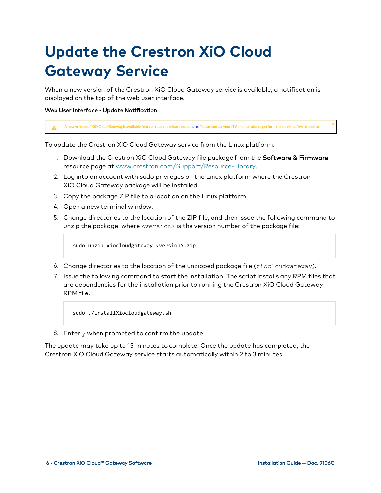### <span id="page-9-0"></span>**Update the Crestron XiO Cloud Gateway Service**

When a new version of the Crestron XiO Cloud Gateway service is available, a notification is displayed on the top of the web user interface.

#### Web User Interface - Update Notification

A new version of XiO Cloud Gateway is available. You can read the release notes here. Please contact your IT Administrator to perform the server software update.

To update the Crestron XiO Cloud Gateway service from the Linux platform:

- 1. Download the Crestron XiO Cloud Gateway file package from the Software & Firmware resource page at [www.crestron.com/Support/Resource-Library.](https://www.crestron.com/Support/Resource-Library)
- 2. Log into an account with sudo privileges on the Linux platform where the Crestron XiO Cloud Gateway package will be installed.
- 3. Copy the package ZIP file to a location on the Linux platform.
- 4. Open a new terminal window.
- 5. Change directories to the location of the ZIP file, and then issue the following command to unzip the package, where <version> is the version number of the package file:

sudo unzip xiocloudgateway\_<version>.zip

- 6. Change directories to the location of the unzipped package file (xiocloudgateway).
- 7. Issue the following command to start the installation. The script installs any RPM files that are dependencies for the installation prior to running the Crestron XiO Cloud Gateway RPM file.

sudo ./installXiocloudgateway.sh

8. Enter  $y$  when prompted to confirm the update.

The update may take up to 15 minutes to complete. Once the update has completed, the Crestron XiO Cloud Gateway service starts automatically within 2 to 3 minutes.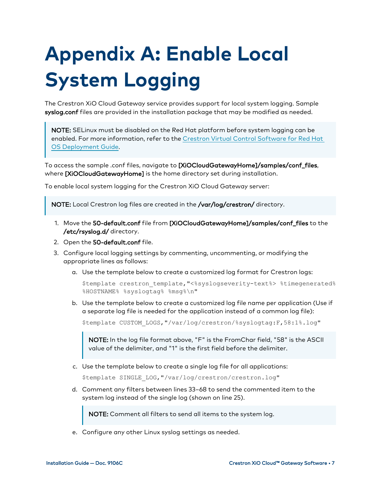# <span id="page-10-0"></span>**Appendix A: Enable Local System Logging**

The Crestron XiO Cloud Gateway service provides support for local system logging. Sample syslog.conf files are provided in the installation package that may be modified as needed.

NOTE: SELinux must be disabled on the Red Hat platform before system logging can be enabled. For more information, refer to the Crestron Virtual Control [Software](https://www.crestron.com/getmedia/7698065b-b4c6-43b4-b2aa-c69a22071ff5/mg_depg_crestron-virtual-control-red-hat-os) for Red Hat OS [Deployment](https://www.crestron.com/getmedia/7698065b-b4c6-43b4-b2aa-c69a22071ff5/mg_depg_crestron-virtual-control-red-hat-os) Guide.

To access the sample .conf files, navigate to [XiOCloudGatewayHome]/samples/conf\_files, where [XiOCloudGatewayHome] is the home directory set during installation.

To enable local system logging for the Crestron XiO Cloud Gateway server:

NOTE: Local Crestron log files are created in the /var/log/crestron/ directory.

- 1. Move the 50-default.conf file from [XiOCloudGatewayHome]/samples/conf\_files to the /etc/rsyslog.d/ directory.
- 2. Open the 50-default.conf file.
- 3. Configure local logging settings by commenting, uncommenting, or modifying the appropriate lines as follows:
	- a. Use the template below to create a customized log format for Crestron logs:

\$template crestron template, "<%syslogseverity-text%> %timegenerated% %HOSTNAME% %syslogtag% %msg%\n"

b. Use the template below to create a customized log file name per application (Use if a separate log file is needed for the application instead of a common log file):

\$template CUSTOM\_LOGS,"/var/log/crestron/%syslogtag:F,58:1%.log"

NOTE: In the log file format above, "F" is the FromChar field, "58" is the ASCII value of the delimiter, and "1" is the first field before the delimiter.

c. Use the template below to create a single log file for all applications:

\$template SINGLE\_LOG,"/var/log/crestron/crestron.log"

d. Comment any filters between lines 33–68 to send the commented item to the system log instead of the single log (shown on line 25).

NOTE: Comment all filters to send all items to the system log.

e. Configure any other Linux syslog settings as needed.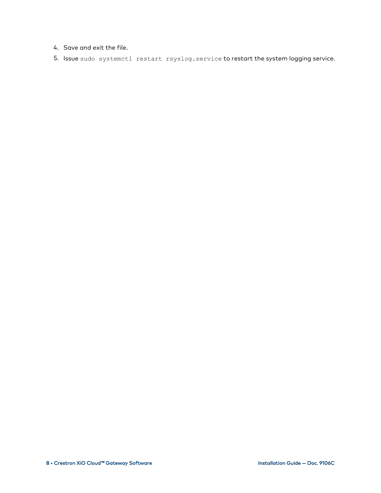- 4. Save and exit the file.
- 5. Issue sudo systemctl restart rsyslog.service to restart the system logging service.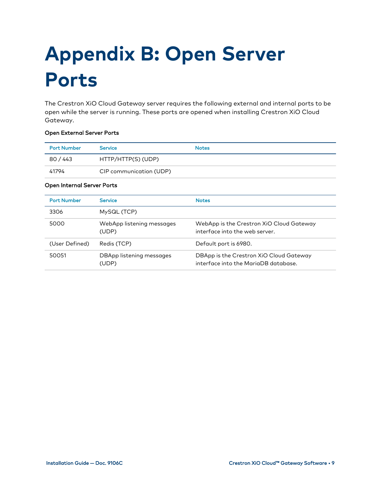# <span id="page-12-0"></span>**Appendix B: Open Server Ports**

The Crestron XiO Cloud Gateway server requires the following external and internal ports to be open while the server is running. These ports are opened when installing Crestron XiO Cloud Gateway.

#### Open External Server Ports

| <b>Port Number</b> | <b>Service</b>          | <b>Notes</b> |
|--------------------|-------------------------|--------------|
| 80 / 443           | HTTP/HTTP(S)(UDP)       |              |
| 41794              | CIP communication (UDP) |              |

#### Open Internal Server Ports

| <b>Port Number</b> | <b>Service</b>                     | <b>Notes</b>                                                                    |
|--------------------|------------------------------------|---------------------------------------------------------------------------------|
| 3306               | MySQL (TCP)                        |                                                                                 |
| 5000               | WebApp listening messages<br>(UDP) | WebApp is the Crestron XiO Cloud Gateway<br>interface into the web server.      |
| (User Defined)     | Redis (TCP)                        | Default port is 6980.                                                           |
| 50051              | DBApp listening messages<br>(UDP)  | DBApp is the Crestron XiO Cloud Gateway<br>interface into the MariaDB database. |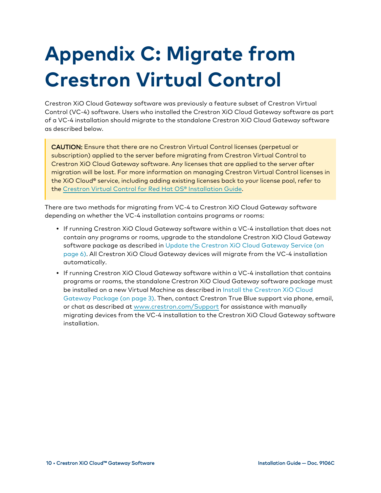# <span id="page-13-0"></span>**Appendix C: Migrate from Crestron Virtual Control**

Crestron XiO Cloud Gateway software was previously a feature subset of Crestron Virtual Control (VC-4) software. Users who installed the Crestron XiO Cloud Gateway software as part of a VC-4 installation should migrate to the standalone Crestron XiO Cloud Gateway software as described below.

CAUTION: Ensure that there are no Crestron Virtual Control licenses (perpetual or subscription) applied to the server before migrating from Crestron Virtual Control to Crestron XiO Cloud Gateway software. Any licenses that are applied to the server after migration will be lost. For more information on managing Crestron Virtual Control licenses in the XiO Cloud® service, including adding existing licenses back to your license pool, refer to the Crestron Virtual Control for Red Hat [OS® Installation](https://www.crestron.com/getmedia/bebda4cf-2070-4ff0-94c7-6fc70b5bc99a/mg_ig_crestron-virtual-control-red-hat-os) Guide.

There are two methods for migrating from VC-4 to Crestron XiO Cloud Gateway software depending on whether the VC-4 installation contains programs or rooms:

- If running Crestron XiO Cloud Gateway software within a VC-4 installation that does not contain any programs or rooms, upgrade to the standalone Crestron XiO Cloud Gateway software package as described in Update the Crestron [XiO Cloud](#page-9-0) Gateway Service (on [page 6\).](#page-9-0) All Crestron XiO Cloud Gateway devices will migrate from the VC-4 installation automatically.
- If running Crestron XiO Cloud Gateway software within a VC-4 installation that contains programs or rooms, the standalone Crestron XiO Cloud Gateway software package must be installed on a new Virtual Machine as described in Install the Crestron [XiO Cloud](#page-6-1) [Gateway](#page-6-1) Package (on page 3). Then, contact Crestron True Blue support via phone, email, or chat as described at [www.crestron.com/Support](https://www.crestron.com/Support) for assistance with manually migrating devices from the VC-4 installation to the Crestron XiO Cloud Gateway software installation.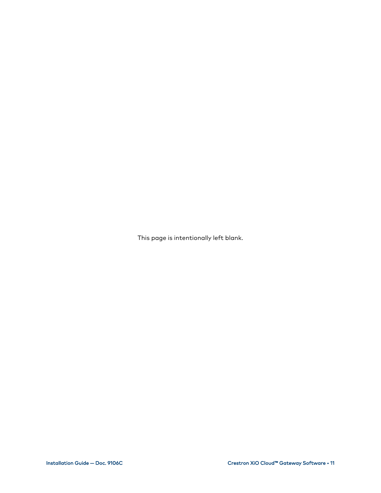This page is intentionally left blank.